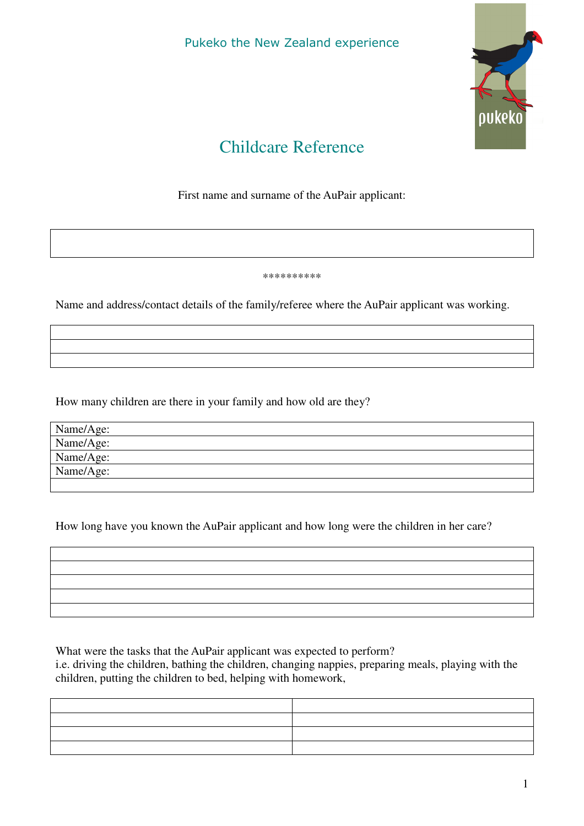Pukeko the New Zealand experience



## Childcare Reference

First name and surname of the AuPair applicant:

\*\*\*\*\*\*\*\*\*\*

Name and address/contact details of the family/referee where the AuPair applicant was working.

How many children are there in your family and how old are they?

| Name/Age: |  |
|-----------|--|
| Name/Age: |  |
| Name/Age: |  |
| Name/Age: |  |
|           |  |

How long have you known the AuPair applicant and how long were the children in her care?

What were the tasks that the AuPair applicant was expected to perform? i.e. driving the children, bathing the children, changing nappies, preparing meals, playing with the children, putting the children to bed, helping with homework,